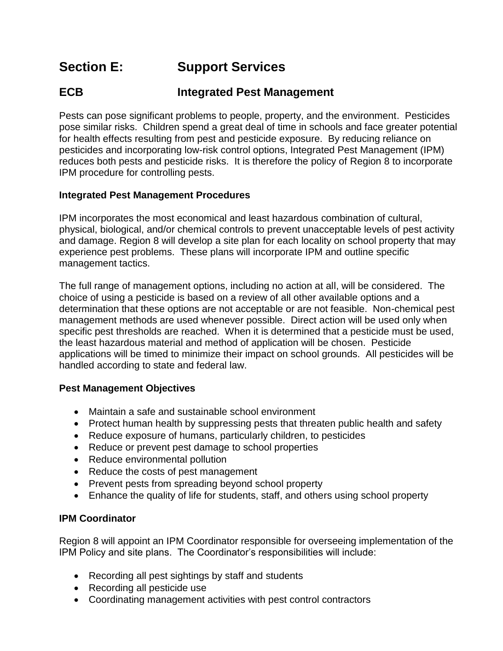# **Section E: Support Services**

# **ECB Integrated Pest Management**

Pests can pose significant problems to people, property, and the environment. Pesticides pose similar risks. Children spend a great deal of time in schools and face greater potential for health effects resulting from pest and pesticide exposure. By reducing reliance on pesticides and incorporating low-risk control options, Integrated Pest Management (IPM) reduces both pests and pesticide risks. It is therefore the policy of Region 8 to incorporate IPM procedure for controlling pests.

# **Integrated Pest Management Procedures**

IPM incorporates the most economical and least hazardous combination of cultural, physical, biological, and/or chemical controls to prevent unacceptable levels of pest activity and damage. Region 8 will develop a site plan for each locality on school property that may experience pest problems. These plans will incorporate IPM and outline specific management tactics.

The full range of management options, including no action at all, will be considered. The choice of using a pesticide is based on a review of all other available options and a determination that these options are not acceptable or are not feasible. Non-chemical pest management methods are used whenever possible. Direct action will be used only when specific pest thresholds are reached. When it is determined that a pesticide must be used, the least hazardous material and method of application will be chosen. Pesticide applications will be timed to minimize their impact on school grounds. All pesticides will be handled according to state and federal law.

#### **Pest Management Objectives**

- Maintain a safe and sustainable school environment
- Protect human health by suppressing pests that threaten public health and safety
- Reduce exposure of humans, particularly children, to pesticides
- Reduce or prevent pest damage to school properties
- Reduce environmental pollution
- Reduce the costs of pest management
- Prevent pests from spreading beyond school property
- Enhance the quality of life for students, staff, and others using school property

#### **IPM Coordinator**

Region 8 will appoint an IPM Coordinator responsible for overseeing implementation of the IPM Policy and site plans. The Coordinator's responsibilities will include:

- Recording all pest sightings by staff and students
- Recording all pesticide use
- Coordinating management activities with pest control contractors